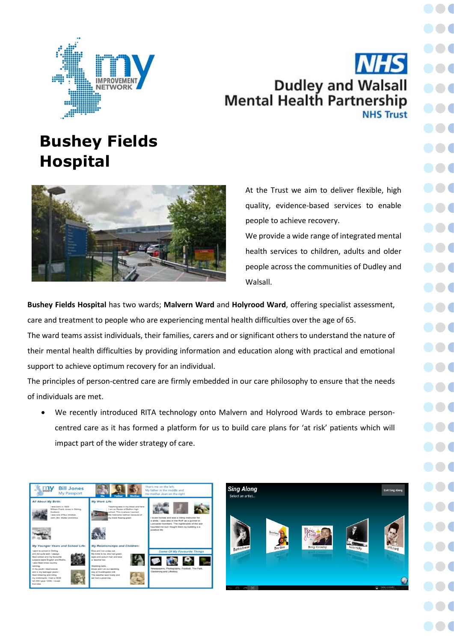

## Dudley and Walsall<br>Mental Health Partnership **NHS Trust**

## **Bushey Fields Hospital**



At the Trust we aim to deliver flexible, high quality, evidence-based services to enable people to achieve recovery.

We provide a wide range of integrated mental health services to children, adults and older people across the communities of Dudley and Walsall.

**Bushey Fields Hospital** has two wards; **Malvern Ward** and **Holyrood Ward**, offering specialist assessment, care and treatment to people who are experiencing mental health difficulties over the age of 65. The ward teams assist individuals, their families, carers and or significant others to understand the nature of their mental health difficulties by providing information and education along with practical and emotional

support to achieve optimum recovery for an individual.

The principles of person-centred care are firmly embedded in our care philosophy to ensure that the needs of individuals are met.

• We recently introduced RITA technology onto Malvern and Holyrood Wards to embrace personcentred care as it has formed a platform for us to build care plans for 'at risk' patients which will impact part of the wider strategy of care.